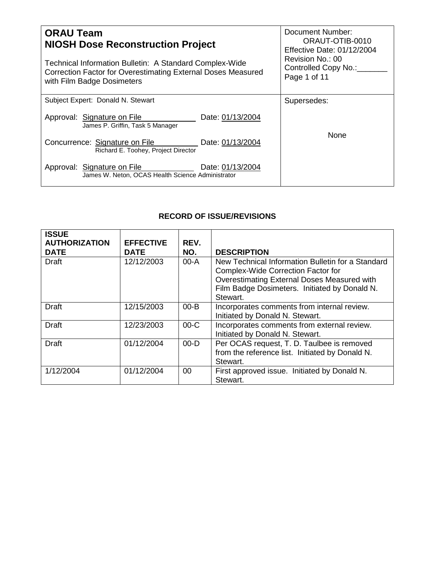| <b>ORAU Team</b><br><b>NIOSH Dose Reconstruction Project</b>                                                                                          | Document Number:<br>ORAUT-OTIB-0010<br><b>Effective Date: 01/12/2004</b> |  |
|-------------------------------------------------------------------------------------------------------------------------------------------------------|--------------------------------------------------------------------------|--|
| Technical Information Bulletin: A Standard Complex-Wide<br>Correction Factor for Overestimating External Doses Measured<br>with Film Badge Dosimeters | Revision No.: 00<br>Controlled Copy No.:_<br>Page 1 of 11                |  |
| Subject Expert: Donald N. Stewart                                                                                                                     | Supersedes:                                                              |  |
| Approval: Signature on File<br>Date: 01/13/2004<br>James P. Griffin, Task 5 Manager                                                                   |                                                                          |  |
| Concurrence: Signature on File<br>Date: 01/13/2004<br>Richard E. Toohey, Project Director                                                             | <b>None</b>                                                              |  |
| Date: 01/13/2004<br>Approval: Signature on File<br>James W. Neton, OCAS Health Science Administrator                                                  |                                                                          |  |

# **RECORD OF ISSUE/REVISIONS**

| <b>ISSUE</b><br><b>AUTHORIZATION</b><br><b>DATE</b> | <b>EFFECTIVE</b><br><b>DATE</b> | REV.<br>NO. | <b>DESCRIPTION</b>                                                                                                                                                                                         |
|-----------------------------------------------------|---------------------------------|-------------|------------------------------------------------------------------------------------------------------------------------------------------------------------------------------------------------------------|
| <b>Draft</b>                                        | 12/12/2003                      | 00-A        | New Technical Information Bulletin for a Standard<br><b>Complex-Wide Correction Factor for</b><br>Overestimating External Doses Measured with<br>Film Badge Dosimeters. Initiated by Donald N.<br>Stewart. |
| <b>Draft</b>                                        | 12/15/2003                      | $00 - B$    | Incorporates comments from internal review.<br>Initiated by Donald N. Stewart.                                                                                                                             |
| <b>Draft</b>                                        | 12/23/2003                      | $00-C$      | Incorporates comments from external review.<br>Initiated by Donald N. Stewart.                                                                                                                             |
| <b>Draft</b>                                        | 01/12/2004                      | $00 - D$    | Per OCAS request, T. D. Taulbee is removed<br>from the reference list. Initiated by Donald N.<br>Stewart.                                                                                                  |
| 1/12/2004                                           | 01/12/2004                      | $00 \,$     | First approved issue. Initiated by Donald N.<br>Stewart.                                                                                                                                                   |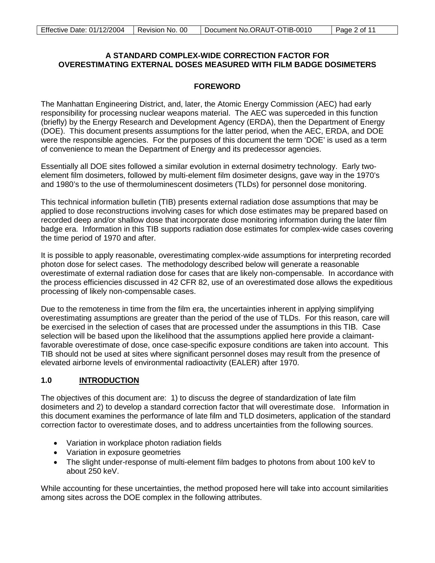### **A STANDARD COMPLEX-WIDE CORRECTION FACTOR FOR OVERESTIMATING EXTERNAL DOSES MEASURED WITH FILM BADGE DOSIMETERS**

### **FOREWORD**

The Manhattan Engineering District, and, later, the Atomic Energy Commission (AEC) had early responsibility for processing nuclear weapons material. The AEC was superceded in this function (briefly) by the Energy Research and Development Agency (ERDA), then the Department of Energy (DOE). This document presents assumptions for the latter period, when the AEC, ERDA, and DOE were the responsible agencies. For the purposes of this document the term 'DOE' is used as a term of convenience to mean the Department of Energy and its predecessor agencies.

Essentially all DOE sites followed a similar evolution in external dosimetry technology. Early twoelement film dosimeters, followed by multi-element film dosimeter designs, gave way in the 1970's and 1980's to the use of thermoluminescent dosimeters (TLDs) for personnel dose monitoring.

This technical information bulletin (TIB) presents external radiation dose assumptions that may be applied to dose reconstructions involving cases for which dose estimates may be prepared based on recorded deep and/or shallow dose that incorporate dose monitoring information during the later film badge era. Information in this TIB supports radiation dose estimates for complex-wide cases covering the time period of 1970 and after.

It is possible to apply reasonable, overestimating complex-wide assumptions for interpreting recorded photon dose for select cases. The methodology described below will generate a reasonable overestimate of external radiation dose for cases that are likely non-compensable. In accordance with the process efficiencies discussed in 42 CFR 82, use of an overestimated dose allows the expeditious processing of likely non-compensable cases.

Due to the remoteness in time from the film era, the uncertainties inherent in applying simplifying overestimating assumptions are greater than the period of the use of TLDs. For this reason, care will be exercised in the selection of cases that are processed under the assumptions in this TIB. Case selection will be based upon the likelihood that the assumptions applied here provide a claimantfavorable overestimate of dose, once case-specific exposure conditions are taken into account. This TIB should not be used at sites where significant personnel doses may result from the presence of elevated airborne levels of environmental radioactivity (EALER) after 1970.

#### **1.0 INTRODUCTION**

The objectives of this document are: 1) to discuss the degree of standardization of late film dosimeters and 2) to develop a standard correction factor that will overestimate dose. Information in this document examines the performance of late film and TLD dosimeters, application of the standard correction factor to overestimate doses, and to address uncertainties from the following sources.

- Variation in workplace photon radiation fields
- Variation in exposure geometries
- The slight under-response of multi-element film badges to photons from about 100 keV to about 250 keV.

While accounting for these uncertainties, the method proposed here will take into account similarities among sites across the DOE complex in the following attributes.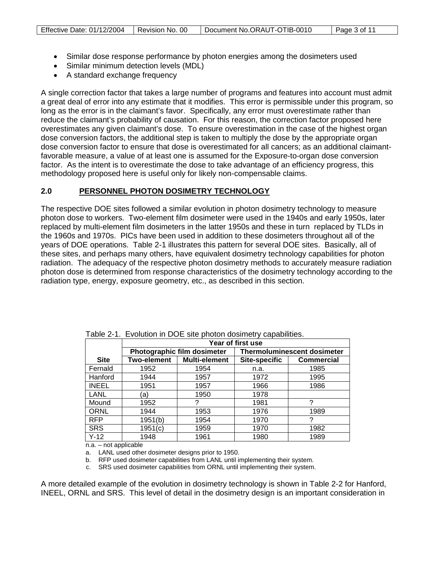- Similar dose response performance by photon energies among the dosimeters used
- Similar minimum detection levels (MDL)
- A standard exchange frequency

A single correction factor that takes a large number of programs and features into account must admit a great deal of error into any estimate that it modifies. This error is permissible under this program, so long as the error is in the claimant's favor. Specifically, any error must overestimate rather than reduce the claimant's probability of causation. For this reason, the correction factor proposed here overestimates any given claimant's dose. To ensure overestimation in the case of the highest organ dose conversion factors, the additional step is taken to multiply the dose by the appropriate organ dose conversion factor to ensure that dose is overestimated for all cancers; as an additional claimantfavorable measure, a value of at least one is assumed for the Exposure-to-organ dose conversion factor. As the intent is to overestimate the dose to take advantage of an efficiency progress, this methodology proposed here is useful only for likely non-compensable claims.

#### **2.0 PERSONNEL PHOTON DOSIMETRY TECHNOLOGY**

The respective DOE sites followed a similar evolution in photon dosimetry technology to measure photon dose to workers. Two-element film dosimeter were used in the 1940s and early 1950s, later replaced by multi-element film dosimeters in the latter 1950s and these in turn replaced by TLDs in the 1960s and 1970s. PICs have been used in addition to these dosimeters throughout all of the years of DOE operations. Table 2-1 illustrates this pattern for several DOE sites. Basically, all of these sites, and perhaps many others, have equivalent dosimetry technology capabilities for photon radiation. The adequacy of the respective photon dosimetry methods to accurately measure radiation photon dose is determined from response characteristics of the dosimetry technology according to the radiation type, energy, exposure geometry, etc., as described in this section.

| Table 2-T. EVOIDIUDIT IIT DOE SIte prioton dosimetry capabilities. |                   |                             |                                    |                   |  |  |
|--------------------------------------------------------------------|-------------------|-----------------------------|------------------------------------|-------------------|--|--|
|                                                                    | Year of first use |                             |                                    |                   |  |  |
|                                                                    |                   | Photographic film dosimeter | <b>Thermoluminescent dosimeter</b> |                   |  |  |
| <b>Site</b>                                                        | Two-element       | Multi-element               | <b>Site-specific</b>               | <b>Commercial</b> |  |  |
| Fernald                                                            | 1952              | 1954                        | n.a.                               | 1985              |  |  |
| Hanford                                                            | 1944              | 1957                        | 1972                               | 1995              |  |  |
| <b>INEEL</b>                                                       | 1951              | 1957                        | 1966                               | 1986              |  |  |
| LANL                                                               | 'a)               | 1950                        | 1978                               |                   |  |  |
| Mound                                                              | 1952              |                             | 1981                               |                   |  |  |
| ORNL                                                               | 1944              | 1953                        | 1976                               | 1989              |  |  |
| <b>RFP</b>                                                         | 1951(b)           | 1954                        | 1970                               |                   |  |  |
| <b>SRS</b>                                                         | 1951(c)           | 1959                        | 1970                               | 1982              |  |  |
| $Y-12$                                                             | 1948              | 1961                        | 1980                               | 1989              |  |  |

Table 2-1. Evolution in DOE site photon dosimetry capabilities.

n.a. – not applicable

a. LANL used other dosimeter designs prior to 1950.

b. RFP used dosimeter capabilities from LANL until implementing their system.

c. SRS used dosimeter capabilities from ORNL until implementing their system.

A more detailed example of the evolution in dosimetry technology is shown in Table 2-2 for Hanford, INEEL, ORNL and SRS. This level of detail in the dosimetry design is an important consideration in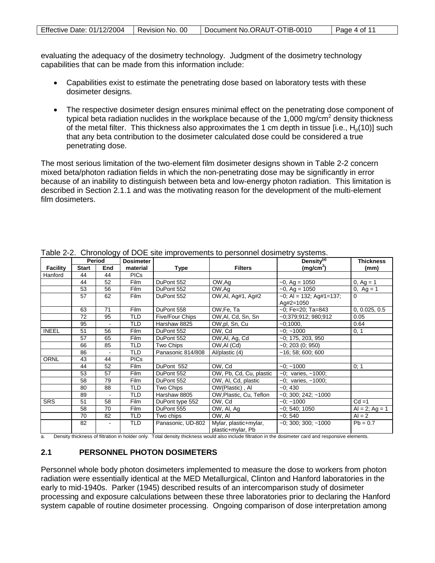| Effective Date: 01/12/2004 | Revision No. 00 | Document No.ORAUT-OTIB-0010 | Page 4 of 11 |
|----------------------------|-----------------|-----------------------------|--------------|
|----------------------------|-----------------|-----------------------------|--------------|

evaluating the adequacy of the dosimetry technology. Judgment of the dosimetry technology capabilities that can be made from this information include:

- Capabilities exist to estimate the penetrating dose based on laboratory tests with these dosimeter designs.
- The respective dosimeter design ensures minimal effect on the penetrating dose component of typical beta radiation nuclides in the workplace because of the 1,000 mg/ $\text{cm}^2$  density thickness of the metal filter. This thickness also approximates the 1 cm depth in tissue [i.e.,  $H<sub>0</sub>(10)$ ] such that any beta contribution to the dosimeter calculated dose could be considered a true penetrating dose.

The most serious limitation of the two-element film dosimeter designs shown in Table 2-2 concern mixed beta/photon radiation fields in which the non-penetrating dose may be significantly in error because of an inability to distinguish between beta and low-energy photon radiation. This limitation is described in Section 2.1.1 and was the motivating reason for the development of the multi-element film dosimeters.

|                 | rable z-z. Onionology or DOL site improvements to personnel dosinetry systems. |        |                  |                        |                                            |                            |                     |
|-----------------|--------------------------------------------------------------------------------|--------|------------------|------------------------|--------------------------------------------|----------------------------|---------------------|
|                 |                                                                                | Period | <b>Dosimeter</b> |                        |                                            | Density <sup>(a)</sup>     | <b>Thickness</b>    |
| <b>Facility</b> | <b>Start</b>                                                                   | End    | material         | Type                   | <b>Filters</b>                             | (mg/cm <sup>2</sup> )      | (mm)                |
| Hanford         | 44                                                                             | 44     | <b>PICs</b>      |                        |                                            |                            |                     |
|                 | 44                                                                             | 52     | <b>Film</b>      | DuPont 552             | OW,Ag                                      | $-0$ , Ag = 1050           | 0, $Ag = 1$         |
|                 | 53                                                                             | 56     | Film             | DuPont 552             | OW,Ag                                      | $-0$ , Ag = 1050           | 0, $Ag = 1$         |
|                 | 57                                                                             | 62     | <b>Film</b>      | DuPont 552             | OW, AI, Ag#1, Ag#2                         | $-0$ ; AI = 132; Ag#1=137; | $\Omega$            |
|                 |                                                                                |        |                  |                        |                                            | Ag#2=1050                  |                     |
|                 | 63                                                                             | 71     | <b>Film</b>      | DuPont 558             | OW, Fe, Ta                                 | $-0$ ; Fe=20; Ta=843       | 0, 0.025, 0.5       |
|                 | 72                                                                             | 95     | <b>TLD</b>       | <b>Five/Four Chips</b> | OW, Al, Cd, Sn, Sn                         | ~0:379:912: 980:912        | 0.05                |
|                 | 95                                                                             |        | TLD              | Harshaw 8825           | OW,pl, Sn, Cu                              | $-0:1000$ ,                | 0.64                |
| <b>INEEL</b>    | 51                                                                             | 56     | <b>Film</b>      | DuPont 552             | OW, Cd                                     | $-0: -1000$                | 0, 1                |
|                 | 57                                                                             | 65     | Film             | DuPont 552             | OW, Al, Ag, Cd                             | $-0$ ; 175, 203, 950       |                     |
|                 | 66                                                                             | 85     | TLD              | Two Chips              | OW, AI (Cd)                                | $-0$ ; 203 (0; 950)        |                     |
|                 | 86                                                                             |        | TLD              | Panasonic 814/808      | Al/plastic (4)                             | $-16$ ; 58; 600; 600       |                     |
| <b>ORNL</b>     | 43                                                                             | 44     | <b>PICs</b>      |                        |                                            |                            |                     |
|                 | 44                                                                             | 52     | Film             | DuPont 552             | OW, Cd                                     | $-0$ ; $-1000$             | 0; 1                |
|                 | 53                                                                             | 57     | Film             | DuPont 552             | OW, Pb, Cd, Cu, plastic                    | $-0$ ; varies, $-1000$ ;   |                     |
|                 | 58                                                                             | 79     | <b>Film</b>      | DuPont 552             | OW, AI, Cd, plastic                        | $-0$ ; varies, $-1000$ ;   |                     |
|                 | 80                                                                             | 88     | <b>TLD</b>       | Two Chips              | OW(Plastic), Al                            | $-0:430$                   |                     |
|                 | 89                                                                             |        | <b>TLD</b>       | Harshaw 8805           | OW, Plastic, Cu, Teflon                    | $-0$ ; 300; 242; $-1000$   |                     |
| <b>SRS</b>      | 51                                                                             | 58     | <b>Film</b>      | DuPont type 552        | OW, Cd                                     | $-0$ ; $-1000$             | $Cd = 1$            |
|                 | 58                                                                             | 70     | <b>Film</b>      | DuPont 555             | OW, Al, Ag                                 | $-0; 540; 1050$            | $Al = 2$ ; $Ag = 1$ |
|                 | 70                                                                             | 82     | <b>TLD</b>       | Two chips              | OW. AI                                     | $-0:540$                   | $Al = 2$            |
|                 | 82                                                                             |        | <b>TLD</b>       | Panasonic, UD-802      | Mylar, plastic+mylar,<br>plastic+mylar, Pb | $-0$ ; 300; 300; $-1000$   | $Pb = 0.7$          |

Table 2-2. Chronology of DOE site improvements to personnel dosimetry systems.

a. Density thickness of filtration in holder only. Total density thickness would also include filtration in the dosimeter card and responsive elements.

### **2.1 PERSONNEL PHOTON DOSIMETERS**

Personnel whole body photon dosimeters implemented to measure the dose to workers from photon radiation were essentially identical at the MED Metallurgical, Clinton and Hanford laboratories in the early to mid-1940s. Parker (1945) described results of an intercomparison study of dosimeter processing and exposure calculations between these three laboratories prior to declaring the Hanford system capable of routine dosimeter processing. Ongoing comparison of dose interpretation among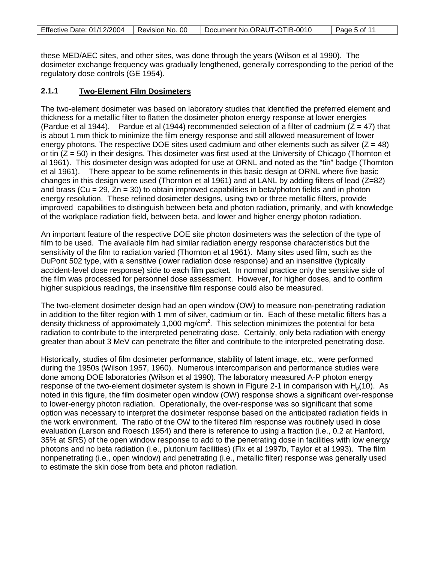| Effective Date: 01/12/2004   Revision No. 00 |  | Document No.ORAUT-OTIB-0010 | Page 5 of 11 |
|----------------------------------------------|--|-----------------------------|--------------|
|----------------------------------------------|--|-----------------------------|--------------|

these MED/AEC sites, and other sites, was done through the years (Wilson et al 1990). The dosimeter exchange frequency was gradually lengthened, generally corresponding to the period of the regulatory dose controls (GE 1954).

#### **2.1.1 Two-Element Film Dosimeters**

The two-element dosimeter was based on laboratory studies that identified the preferred element and thickness for a metallic filter to flatten the dosimeter photon energy response at lower energies (Pardue et al 1944). Pardue et al (1944) recommended selection of a filter of cadmium ( $\bar{Z}$  = 47) that is about 1 mm thick to minimize the film energy response and still allowed measurement of lower energy photons. The respective DOE sites used cadmium and other elements such as silver  $(Z = 48)$ or tin  $(Z = 50)$  in their designs. This dosimeter was first used at the University of Chicago (Thornton et al 1961). This dosimeter design was adopted for use at ORNL and noted as the "tin" badge (Thornton et al 1961). There appear to be some refinements in this basic design at ORNL where five basic changes in this design were used (Thornton et al 1961) and at LANL by adding filters of lead  $(Z=82)$ and brass (Cu = 29, Zn = 30) to obtain improved capabilities in beta/photon fields and in photon energy resolution. These refined dosimeter designs, using two or three metallic filters, provide improved capabilities to distinguish between beta and photon radiation, primarily, and with knowledge of the workplace radiation field, between beta, and lower and higher energy photon radiation.

An important feature of the respective DOE site photon dosimeters was the selection of the type of film to be used. The available film had similar radiation energy response characteristics but the sensitivity of the film to radiation varied (Thornton et al 1961). Many sites used film, such as the DuPont 502 type, with a sensitive (lower radiation dose response) and an insensitive (typically accident-level dose response) side to each film packet. In normal practice only the sensitive side of the film was processed for personnel dose assessment. However, for higher doses, and to confirm higher suspicious readings, the insensitive film response could also be measured.

The two-element dosimeter design had an open window (OW) to measure non-penetrating radiation in addition to the filter region with 1 mm of silver, cadmium or tin. Each of these metallic filters has a density thickness of approximately 1,000 mg/cm<sup>2</sup>. This selection minimizes the potential for beta radiation to contribute to the interpreted penetrating dose. Certainly, only beta radiation with energy greater than about 3 MeV can penetrate the filter and contribute to the interpreted penetrating dose.

Historically, studies of film dosimeter performance, stability of latent image, etc., were performed during the 1950s (Wilson 1957, 1960). Numerous intercomparison and performance studies were done among DOE laboratories (Wilson et al 1990). The laboratory measured A-P photon energy response of the two-element dosimeter system is shown in Figure 2-1 in comparison with  $H_0(10)$ . As noted in this figure, the film dosimeter open window (OW) response shows a significant over-response to lower-energy photon radiation. Operationally, the over-response was so significant that some option was necessary to interpret the dosimeter response based on the anticipated radiation fields in the work environment. The ratio of the OW to the filtered film response was routinely used in dose evaluation (Larson and Roesch 1954) and there is reference to using a fraction (i.e., 0.2 at Hanford, 35% at SRS) of the open window response to add to the penetrating dose in facilities with low energy photons and no beta radiation (i.e., plutonium facilities) (Fix et al 1997b, Taylor et al 1993). The film nonpenetrating (i.e., open window) and penetrating (i.e., metallic filter) response was generally used to estimate the skin dose from beta and photon radiation.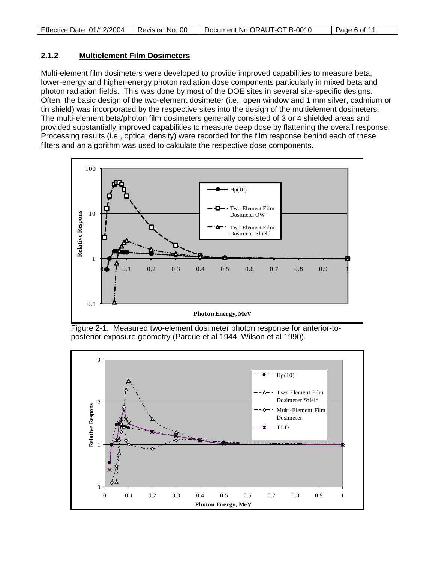| Effective Date: 01/12/2004 | Revision No. 00 | Document No.ORAUT-OTIB-0010 | Page 6 of 11 |
|----------------------------|-----------------|-----------------------------|--------------|

#### **2.1.2 Multielement Film Dosimeters**

Multi-element film dosimeters were developed to provide improved capabilities to measure beta, lower-energy and higher-energy photon radiation dose components particularly in mixed beta and photon radiation fields. This was done by most of the DOE sites in several site-specific designs. Often, the basic design of the two-element dosimeter (i.e., open window and 1 mm silver, cadmium or tin shield) was incorporated by the respective sites into the design of the multielement dosimeters. The multi-element beta/photon film dosimeters generally consisted of 3 or 4 shielded areas and provided substantially improved capabilities to measure deep dose by flattening the overall response. Processing results (i.e., optical density) were recorded for the film response behind each of these filters and an algorithm was used to calculate the respective dose components.



Figure 2-1. Measured two-element dosimeter photon response for anterior-toposterior exposure geometry (Pardue et al 1944, Wilson et al 1990).

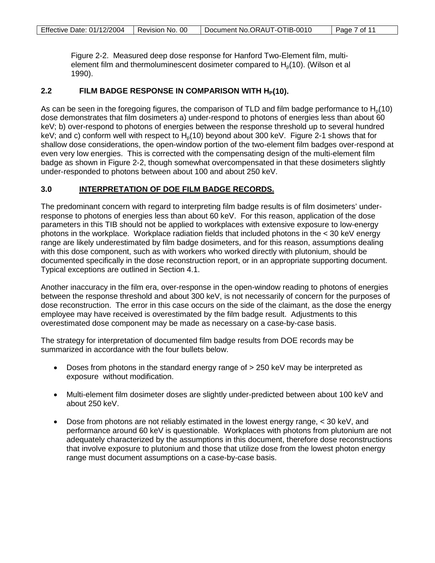Figure 2-2. Measured deep dose response for Hanford Two-Element film, multielement film and thermoluminescent dosimeter compared to  $H<sub>0</sub>(10)$ . (Wilson et al 1990).

## 2.2 **FILM BADGE RESPONSE IN COMPARISON WITH H<sub>P</sub>(10).**

As can be seen in the foregoing figures, the comparison of TLD and film badge performance to  $H_0(10)$ dose demonstrates that film dosimeters a) under-respond to photons of energies less than about 60 keV; b) over-respond to photons of energies between the response threshold up to several hundred keV; and c) conform well with respect to  $H<sub>0</sub>(10)$  beyond about 300 keV. Figure 2-1 shows that for shallow dose considerations, the open-window portion of the two-element film badges over-respond at even very low energies. This is corrected with the compensating design of the multi-element film badge as shown in Figure 2-2, though somewhat overcompensated in that these dosimeters slightly under-responded to photons between about 100 and about 250 keV.

#### **3.0 INTERPRETATION OF DOE FILM BADGE RECORDS.**

The predominant concern with regard to interpreting film badge results is of film dosimeters' underresponse to photons of energies less than about 60 keV. For this reason, application of the dose parameters in this TIB should not be applied to workplaces with extensive exposure to low-energy photons in the workplace. Workplace radiation fields that included photons in the < 30 keV energy range are likely underestimated by film badge dosimeters, and for this reason, assumptions dealing with this dose component, such as with workers who worked directly with plutonium, should be documented specifically in the dose reconstruction report, or in an appropriate supporting document. Typical exceptions are outlined in Section 4.1.

Another inaccuracy in the film era, over-response in the open-window reading to photons of energies between the response threshold and about 300 keV, is not necessarily of concern for the purposes of dose reconstruction. The error in this case occurs on the side of the claimant, as the dose the energy employee may have received is overestimated by the film badge result. Adjustments to this overestimated dose component may be made as necessary on a case-by-case basis.

The strategy for interpretation of documented film badge results from DOE records may be summarized in accordance with the four bullets below.

- Doses from photons in the standard energy range of  $>$  250 keV may be interpreted as exposure without modification.
- Multi-element film dosimeter doses are slightly under-predicted between about 100 keV and about 250 keV.
- Dose from photons are not reliably estimated in the lowest energy range, < 30 keV, and performance around 60 keV is questionable. Workplaces with photons from plutonium are not adequately characterized by the assumptions in this document, therefore dose reconstructions that involve exposure to plutonium and those that utilize dose from the lowest photon energy range must document assumptions on a case-by-case basis.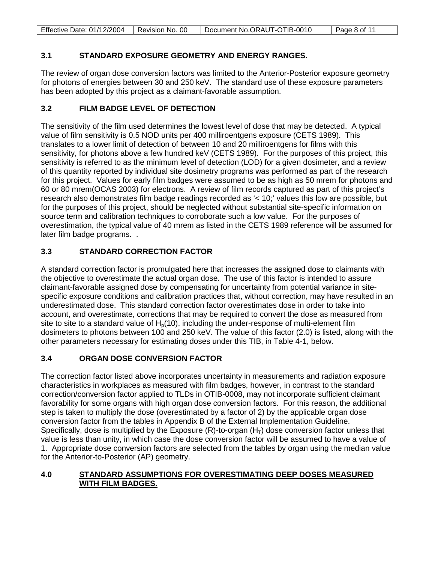| Effective Date: 01/12/2004 | Revision No. 00 | Document No.ORAUT-OTIB-0010 | Page 8 of 11 |
|----------------------------|-----------------|-----------------------------|--------------|

## **3.1 STANDARD EXPOSURE GEOMETRY AND ENERGY RANGES.**

The review of organ dose conversion factors was limited to the Anterior-Posterior exposure geometry for photons of energies between 30 and 250 keV. The standard use of these exposure parameters has been adopted by this project as a claimant-favorable assumption.

### **3.2 FILM BADGE LEVEL OF DETECTION**

The sensitivity of the film used determines the lowest level of dose that may be detected. A typical value of film sensitivity is 0.5 NOD units per 400 milliroentgens exposure (CETS 1989). This translates to a lower limit of detection of between 10 and 20 milliroentgens for films with this sensitivity, for photons above a few hundred keV (CETS 1989). For the purposes of this project, this sensitivity is referred to as the minimum level of detection (LOD) for a given dosimeter, and a review of this quantity reported by individual site dosimetry programs was performed as part of the research for this project. Values for early film badges were assumed to be as high as 50 mrem for photons and 60 or 80 mrem(OCAS 2003) for electrons. A review of film records captured as part of this project's research also demonstrates film badge readings recorded as '< 10;' values this low are possible, but for the purposes of this project, should be neglected without substantial site-specific information on source term and calibration techniques to corroborate such a low value. For the purposes of overestimation, the typical value of 40 mrem as listed in the CETS 1989 reference will be assumed for later film badge programs. .

# **3.3 STANDARD CORRECTION FACTOR**

A standard correction factor is promulgated here that increases the assigned dose to claimants with the objective to overestimate the actual organ dose. The use of this factor is intended to assure claimant-favorable assigned dose by compensating for uncertainty from potential variance in sitespecific exposure conditions and calibration practices that, without correction, may have resulted in an underestimated dose. This standard correction factor overestimates dose in order to take into account, and overestimate, corrections that may be required to convert the dose as measured from site to site to a standard value of  $H<sub>o</sub>(10)$ , including the under-response of multi-element film dosimeters to photons between 100 and 250 keV. The value of this factor (2.0) is listed, along with the other parameters necessary for estimating doses under this TIB, in Table 4-1, below.

# **3.4 ORGAN DOSE CONVERSION FACTOR**

The correction factor listed above incorporates uncertainty in measurements and radiation exposure characteristics in workplaces as measured with film badges, however, in contrast to the standard correction/conversion factor applied to TLDs in OTIB-0008, may not incorporate sufficient claimant favorability for some organs with high organ dose conversion factors. For this reason, the additional step is taken to multiply the dose (overestimated by a factor of 2) by the applicable organ dose conversion factor from the tables in Appendix B of the External Implementation Guideline. Specifically, dose is multiplied by the Exposure  $(R)$ -to-organ  $(H<sub>T</sub>)$  dose conversion factor unless that value is less than unity, in which case the dose conversion factor will be assumed to have a value of 1. Appropriate dose conversion factors are selected from the tables by organ using the median value for the Anterior-to-Posterior (AP) geometry.

### **4.0 STANDARD ASSUMPTIONS FOR OVERESTIMATING DEEP DOSES MEASURED WITH FILM BADGES.**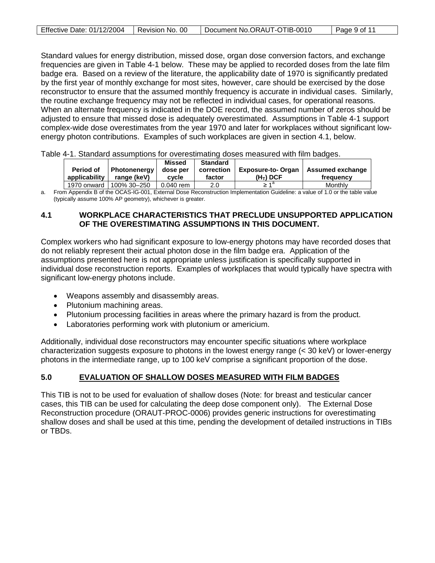|--|

Standard values for energy distribution, missed dose, organ dose conversion factors, and exchange frequencies are given in Table 4-1 below. These may be applied to recorded doses from the late film badge era. Based on a review of the literature, the applicability date of 1970 is significantly predated by the first year of monthly exchange for most sites, however, care should be exercised by the dose reconstructor to ensure that the assumed monthly frequency is accurate in individual cases. Similarly, the routine exchange frequency may not be reflected in individual cases, for operational reasons. When an alternate frequency is indicated in the DOE record, the assumed number of zeros should be adjusted to ensure that missed dose is adequately overestimated. Assumptions in Table 4-1 support complex-wide dose overestimates from the year 1970 and later for workplaces without significant lowenergy photon contributions. Examples of such workplaces are given in section 4.1, below.

Table 4-1. Standard assumptions for overestimating doses measured with film badges.

|               |              | <b>Missed</b> | <b>Standard</b> |                          |                  |
|---------------|--------------|---------------|-----------------|--------------------------|------------------|
| Period of     | Photonenerav | dose per      | correction      | <b>Exposure-to-Organ</b> | Assumed exchange |
| applicability | range (keV)  | cycle         | factor          | $(HT)$ DCF               | frequency        |
| 1970 onward I | 100% 30–250  | 0.040 rem     | 2.0             | ام -                     | Monthly          |

a. From Appendix B of the OCAS-IG-001, External Dose Reconstruction Implementation Guideline: a value of 1.0 or the table value (typically assume 100% AP geometry), whichever is greater.

### **4.1 WORKPLACE CHARACTERISTICS THAT PRECLUDE UNSUPPORTED APPLICATION OF THE OVERESTIMATING ASSUMPTIONS IN THIS DOCUMENT.**

Complex workers who had significant exposure to low-energy photons may have recorded doses that do not reliably represent their actual photon dose in the film badge era. Application of the assumptions presented here is not appropriate unless justification is specifically supported in individual dose reconstruction reports. Examples of workplaces that would typically have spectra with significant low-energy photons include.

- Weapons assembly and disassembly areas.
- Plutonium machining areas.
- Plutonium processing facilities in areas where the primary hazard is from the product.
- Laboratories performing work with plutonium or americium.

Additionally, individual dose reconstructors may encounter specific situations where workplace characterization suggests exposure to photons in the lowest energy range (< 30 keV) or lower-energy photons in the intermediate range, up to 100 keV comprise a significant proportion of the dose.

#### **5.0 EVALUATION OF SHALLOW DOSES MEASURED WITH FILM BADGES**

This TIB is not to be used for evaluation of shallow doses (Note: for breast and testicular cancer cases, this TIB can be used for calculating the deep dose component only). The External Dose Reconstruction procedure (ORAUT-PROC-0006) provides generic instructions for overestimating shallow doses and shall be used at this time, pending the development of detailed instructions in TIBs or TBDs.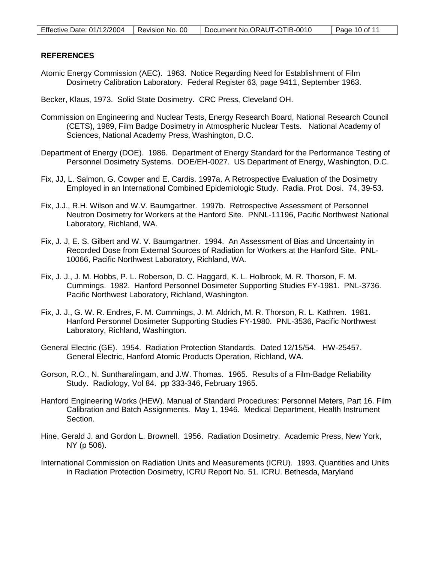### **REFERENCES**

Atomic Energy Commission (AEC). 1963. Notice Regarding Need for Establishment of Film Dosimetry Calibration Laboratory. Federal Register 63, page 9411, September 1963.

Becker, Klaus, 1973. Solid State Dosimetry. CRC Press, Cleveland OH.

- Commission on Engineering and Nuclear Tests, Energy Research Board, National Research Council (CETS), 1989, Film Badge Dosimetry in Atmospheric Nuclear Tests. National Academy of Sciences, National Academy Press, Washington, D.C.
- Department of Energy (DOE). 1986. Department of Energy Standard for the Performance Testing of Personnel Dosimetry Systems. DOE/EH-0027. US Department of Energy, Washington, D.C.
- Fix, JJ, L. Salmon, G. Cowper and E. Cardis. 1997a. A Retrospective Evaluation of the Dosimetry Employed in an International Combined Epidemiologic Study. Radia. Prot. Dosi. 74, 39-53.
- Fix, J.J., R.H. Wilson and W.V. Baumgartner. 1997b. Retrospective Assessment of Personnel Neutron Dosimetry for Workers at the Hanford Site. PNNL-11196, Pacific Northwest National Laboratory, Richland, WA.
- Fix, J. J, E. S. Gilbert and W. V. Baumgartner. 1994. An Assessment of Bias and Uncertainty in Recorded Dose from External Sources of Radiation for Workers at the Hanford Site. PNL-10066, Pacific Northwest Laboratory, Richland, WA.
- Fix, J. J., J. M. Hobbs, P. L. Roberson, D. C. Haggard, K. L. Holbrook, M. R. Thorson, F. M. Cummings. 1982. Hanford Personnel Dosimeter Supporting Studies FY-1981. PNL-3736. Pacific Northwest Laboratory, Richland, Washington.
- Fix, J. J., G. W. R. Endres, F. M. Cummings, J. M. Aldrich, M. R. Thorson, R. L. Kathren. 1981. Hanford Personnel Dosimeter Supporting Studies FY-1980. PNL-3536, Pacific Northwest Laboratory, Richland, Washington.
- General Electric (GE). 1954. Radiation Protection Standards. Dated 12/15/54. HW-25457. General Electric, Hanford Atomic Products Operation, Richland, WA.
- Gorson, R.O., N. Suntharalingam, and J.W. Thomas. 1965. Results of a Film-Badge Reliability Study. Radiology, Vol 84. pp 333-346, February 1965.
- Hanford Engineering Works (HEW). Manual of Standard Procedures: Personnel Meters, Part 16. Film Calibration and Batch Assignments. May 1, 1946. Medical Department, Health Instrument Section.
- Hine, Gerald J. and Gordon L. Brownell. 1956. Radiation Dosimetry. Academic Press, New York, NY (p 506).
- International Commission on Radiation Units and Measurements (ICRU). 1993. Quantities and Units in Radiation Protection Dosimetry, ICRU Report No. 51. ICRU. Bethesda, Maryland